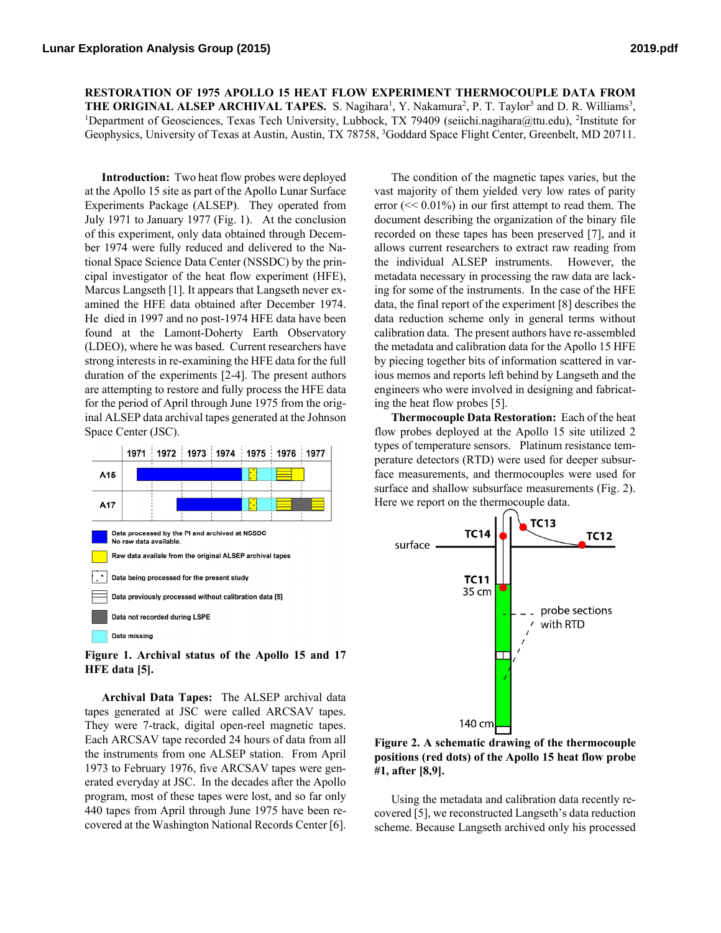**RESTORATION OF 1975 APOLLO 15 HEAT FLOW EXPERIMENT THERMOCOUPLE DATA FROM THE ORIGINAL ALSEP ARCHIVAL TAPES.** S. Nagihara<sup>1</sup>, Y. Nakamura<sup>2</sup>, P. T. Taylor<sup>3</sup> and D. R. Williams<sup>3</sup>, <sup>1</sup>Department of Geosciences. Texas Tech University, Lubbock, TX 79409 (sejichi nagihara@ttu.edu). <sup>2</sup>Institute fo Department of Geosciences, Texas Tech University, Lubbock, TX 79409 (seiichi.nagihara@ttu.edu), <sup>2</sup>Institute for Geophysics, University of Texas at Austin, Austin, TX 78758, <sup>3</sup>Goddard Space Flight Center, Greenbelt, MD 20711.

**Introduction:** Two heat flow probes were deployed at the Apollo 15 site as part of the Apollo Lunar Surface Experiments Package (ALSEP). They operated from July 1971 to January 1977 (Fig. 1). At the conclusion of this experiment, only data obtained through December 1974 were fully reduced and delivered to the National Space Science Data Center (NSSDC) by the principal investigator of the heat flow experiment (HFE), Marcus Langseth [1]. It appears that Langseth never examined the HFE data obtained after December 1974. He died in 1997 and no post-1974 HFE data have been found at the Lamont-Doherty Earth Observatory (LDEO), where he was based. Current researchers have strong interests in re-examining the HFE data for the full duration of the experiments [2-4]. The present authors are attempting to restore and fully process the HFE data for the period of April through June 1975 from the original ALSEP data archival tapes generated at the Johnson Space Center (JSC).



**Figure 1. Archival status of the Apollo 15 and 17 HFE data [5].** 

**Archival Data Tapes:** The ALSEP archival data tapes generated at JSC were called ARCSAV tapes. They were 7-track, digital open-reel magnetic tapes. Each ARCSAV tape recorded 24 hours of data from all the instruments from one ALSEP station. From April 1973 to February 1976, five ARCSAV tapes were generated everyday at JSC. In the decades after the Apollo program, most of these tapes were lost, and so far only 440 tapes from April through June 1975 have been recovered at the Washington National Records Center [6].

The condition of the magnetic tapes varies, but the vast majority of them yielded very low rates of parity error  $(\leq 0.01\%)$  in our first attempt to read them. The document describing the organization of the binary file recorded on these tapes has been preserved [7], and it allows current researchers to extract raw reading from the individual ALSEP instruments. However, the metadata necessary in processing the raw data are lacking for some of the instruments. In the case of the HFE data, the final report of the experiment [8] describes the data reduction scheme only in general terms without calibration data. The present authors have re-assembled the metadata and calibration data for the Apollo 15 HFE by piecing together bits of information scattered in various memos and reports left behind by Langseth and the engineers who were involved in designing and fabricating the heat flow probes [5].

**Thermocouple Data Restoration:** Each of the heat flow probes deployed at the Apollo 15 site utilized 2 types of temperature sensors. Platinum resistance temperature detectors (RTD) were used for deeper subsurface measurements, and thermocouples were used for surface and shallow subsurface measurements (Fig. 2). Here we report on the thermocouple data.



**Figure 2. A schematic drawing of the thermocouple positions (red dots) of the Apollo 15 heat flow probe #1, after [8,9].** 

Using the metadata and calibration data recently recovered [5], we reconstructed Langseth's data reduction scheme. Because Langseth archived only his processed